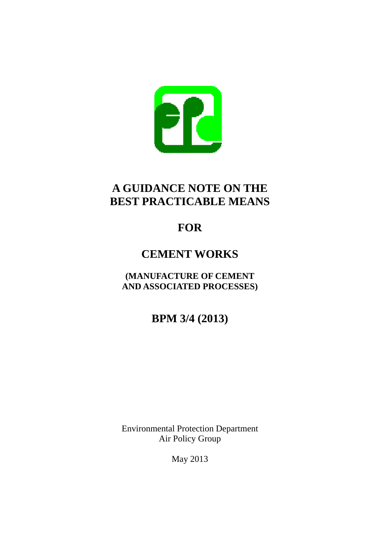

# **A GUIDANCE NOTE ON THE BEST PRACTICABLE MEANS**

# **FOR**

# **CEMENT WORKS**

**(MANUFACTURE OF CEMENT AND ASSOCIATED PROCESSES)** 

**BPM 3/4 (2013)** 

Environmental Protection Department Air Policy Group

May 2013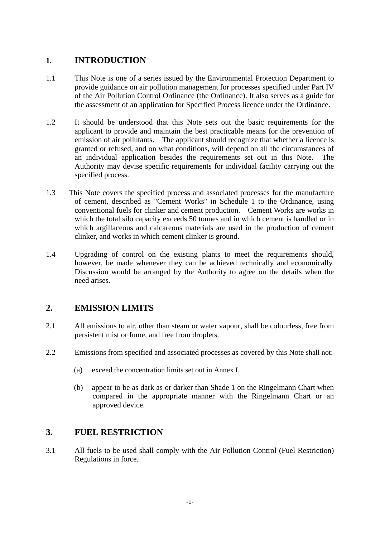## **1. INTRODUCTION**

- 1.1 This Note is one of a series issued by the Environmental Protection Department to provide guidance on air pollution management for processes specified under Part IV of the Air Pollution Control Ordinance (the Ordinance). It also serves as a guide for the assessment of an application for Specified Process licence under the Ordinance.
- 1.2 It should be understood that this Note sets out the basic requirements for the applicant to provide and maintain the best practicable means for the prevention of emission of air pollutants. The applicant should recognize that whether a licence is granted or refused, and on what conditions, will depend on all the circumstances of an individual application besides the requirements set out in this Note. The Authority may devise specific requirements for individual facility carrying out the specified process.
- 1.3 This Note covers the specified process and associated processes for the manufacture of cement, described as "Cement Works" in Schedule 1 to the Ordinance, using conventional fuels for clinker and cement production. Cement Works are works in which the total silo capacity exceeds 50 tonnes and in which cement is handled or in which argillaceous and calcareous materials are used in the production of cement clinker, and works in which cement clinker is ground.
- 1.4 Upgrading of control on the existing plants to meet the requirements should, however, be made whenever they can be achieved technically and economically. Discussion would be arranged by the Authority to agree on the details when the need arises.

## **2. EMISSION LIMITS**

- 2.1 All emissions to air, other than steam or water vapour, shall be colourless, free from persistent mist or fume, and free from droplets.
- 2.2 Emissions from specified and associated processes as covered by this Note shall not:
	- (a) exceed the concentration limits set out in Annex I.
	- (b) appear to be as dark as or darker than Shade 1 on the Ringelmann Chart when compared in the appropriate manner with the Ringelmann Chart or an approved device.

## **3. FUEL RESTRICTION**

3.1 All fuels to be used shall comply with the Air Pollution Control (Fuel Restriction) Regulations in force.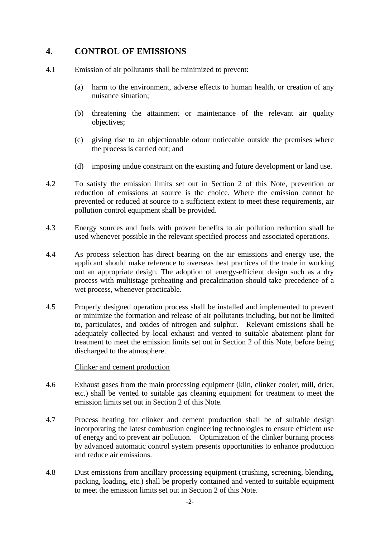## **4. CONTROL OF EMISSIONS**

- 4.1 Emission of air pollutants shall be minimized to prevent:
	- (a) harm to the environment, adverse effects to human health, or creation of any nuisance situation;
	- (b) threatening the attainment or maintenance of the relevant air quality objectives;
	- (c) giving rise to an objectionable odour noticeable outside the premises where the process is carried out; and
	- (d) imposing undue constraint on the existing and future development or land use.
- 4.2 To satisfy the emission limits set out in Section 2 of this Note, prevention or reduction of emissions at source is the choice. Where the emission cannot be prevented or reduced at source to a sufficient extent to meet these requirements, air pollution control equipment shall be provided.
- 4.3 Energy sources and fuels with proven benefits to air pollution reduction shall be used whenever possible in the relevant specified process and associated operations.
- 4.4 As process selection has direct bearing on the air emissions and energy use, the applicant should make reference to overseas best practices of the trade in working out an appropriate design. The adoption of energy-efficient design such as a dry process with multistage preheating and precalcination should take precedence of a wet process, whenever practicable.
- 4.5 Properly designed operation process shall be installed and implemented to prevent or minimize the formation and release of air pollutants including, but not be limited to, particulates, and oxides of nitrogen and sulphur. Relevant emissions shall be adequately collected by local exhaust and vented to suitable abatement plant for treatment to meet the emission limits set out in Section 2 of this Note, before being discharged to the atmosphere.

#### Clinker and cement production

- 4.6 Exhaust gases from the main processing equipment (kiln, clinker cooler, mill, drier, etc.) shall be vented to suitable gas cleaning equipment for treatment to meet the emission limits set out in Section 2 of this Note.
- 4.7 Process heating for clinker and cement production shall be of suitable design incorporating the latest combustion engineering technologies to ensure efficient use of energy and to prevent air pollution. Optimization of the clinker burning process by advanced automatic control system presents opportunities to enhance production and reduce air emissions.
- 4.8 Dust emissions from ancillary processing equipment (crushing, screening, blending, packing, loading, etc.) shall be properly contained and vented to suitable equipment to meet the emission limits set out in Section 2 of this Note.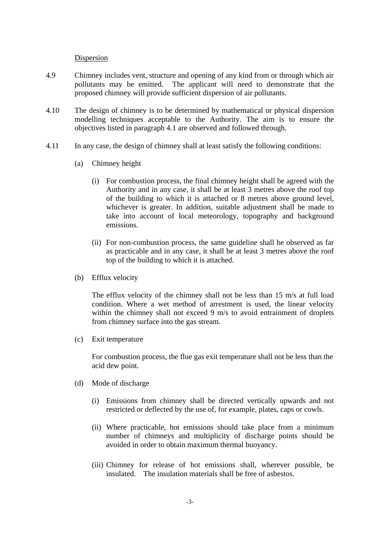#### Dispersion

- 4.9 Chimney includes vent, structure and opening of any kind from or through which air pollutants may be emitted. The applicant will need to demonstrate that the proposed chimney will provide sufficient dispersion of air pollutants.
- 4.10 The design of chimney is to be determined by mathematical or physical dispersion modelling techniques acceptable to the Authority. The aim is to ensure the objectives listed in paragraph 4.1 are observed and followed through.
- 4.11 In any case, the design of chimney shall at least satisfy the following conditions:
	- (a) Chimney height
		- (i) For combustion process, the final chimney height shall be agreed with the Authority and in any case, it shall be at least 3 metres above the roof top of the building to which it is attached or 8 metres above ground level, whichever is greater. In addition, suitable adjustment shall be made to take into account of local meteorology, topography and background emissions.
		- (ii) For non-combustion process, the same guideline shall be observed as far as practicable and in any case, it shall be at least 3 metres above the roof top of the building to which it is attached.
	- (b) Efflux velocity

The efflux velocity of the chimney shall not be less than 15 m/s at full load condition. Where a wet method of arrestment is used, the linear velocity within the chimney shall not exceed 9 m/s to avoid entrainment of droplets from chimney surface into the gas stream.

(c) Exit temperature

For combustion process, the flue gas exit temperature shall not be less than the acid dew point.

- (d) Mode of discharge
	- (i) Emissions from chimney shall be directed vertically upwards and not restricted or deflected by the use of, for example, plates, caps or cowls.
	- (ii) Where practicable, hot emissions should take place from a minimum number of chimneys and multiplicity of discharge points should be avoided in order to obtain maximum thermal buoyancy.
	- (iii) Chimney for release of hot emissions shall, wherever possible, be insulated. The insulation materials shall be free of asbestos.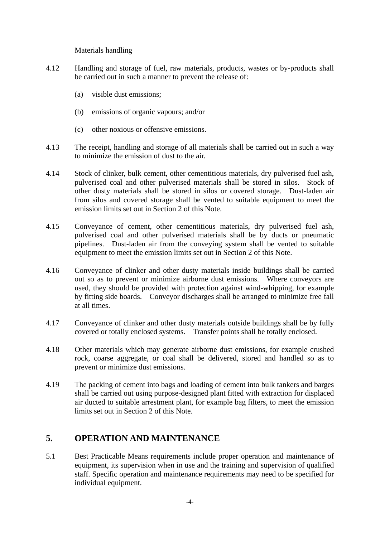#### Materials handling

- 4.12 Handling and storage of fuel, raw materials, products, wastes or by-products shall be carried out in such a manner to prevent the release of:
	- (a) visible dust emissions;
	- (b) emissions of organic vapours; and/or
	- (c) other noxious or offensive emissions.
- 4.13 The receipt, handling and storage of all materials shall be carried out in such a way to minimize the emission of dust to the air.
- 4.14 Stock of clinker, bulk cement, other cementitious materials, dry pulverised fuel ash, pulverised coal and other pulverised materials shall be stored in silos. Stock of other dusty materials shall be stored in silos or covered storage. Dust-laden air from silos and covered storage shall be vented to suitable equipment to meet the emission limits set out in Section 2 of this Note.
- 4.15 Conveyance of cement, other cementitious materials, dry pulverised fuel ash, pulverised coal and other pulverised materials shall be by ducts or pneumatic pipelines. Dust-laden air from the conveying system shall be vented to suitable equipment to meet the emission limits set out in Section 2 of this Note.
- 4.16 Conveyance of clinker and other dusty materials inside buildings shall be carried out so as to prevent or minimize airborne dust emissions. Where conveyors are used, they should be provided with protection against wind-whipping, for example by fitting side boards. Conveyor discharges shall be arranged to minimize free fall at all times.
- 4.17 Conveyance of clinker and other dusty materials outside buildings shall be by fully covered or totally enclosed systems. Transfer points shall be totally enclosed.
- 4.18 Other materials which may generate airborne dust emissions, for example crushed rock, coarse aggregate, or coal shall be delivered, stored and handled so as to prevent or minimize dust emissions.
- 4.19 The packing of cement into bags and loading of cement into bulk tankers and barges shall be carried out using purpose-designed plant fitted with extraction for displaced air ducted to suitable arrestment plant, for example bag filters, to meet the emission limits set out in Section 2 of this Note.

## **5. OPERATION AND MAINTENANCE**

5.1 Best Practicable Means requirements include proper operation and maintenance of equipment, its supervision when in use and the training and supervision of qualified staff. Specific operation and maintenance requirements may need to be specified for individual equipment.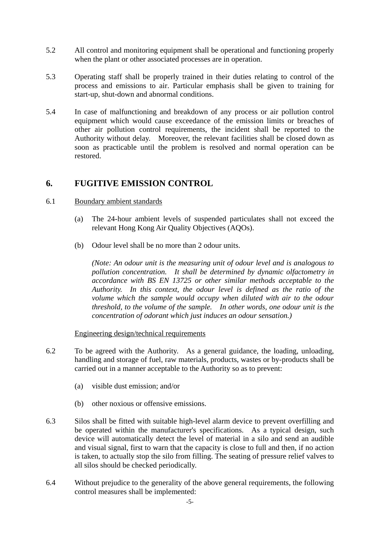- 5.2 All control and monitoring equipment shall be operational and functioning properly when the plant or other associated processes are in operation.
- 5.3 Operating staff shall be properly trained in their duties relating to control of the process and emissions to air. Particular emphasis shall be given to training for start-up, shut-down and abnormal conditions.
- 5.4 In case of malfunctioning and breakdown of any process or air pollution control equipment which would cause exceedance of the emission limits or breaches of other air pollution control requirements, the incident shall be reported to the Authority without delay. Moreover, the relevant facilities shall be closed down as soon as practicable until the problem is resolved and normal operation can be restored.

### **6. FUGITIVE EMISSION CONTROL**

#### 6.1 Boundary ambient standards

- (a) The 24-hour ambient levels of suspended particulates shall not exceed the relevant Hong Kong Air Quality Objectives (AQOs).
- (b) Odour level shall be no more than 2 odour units.

*(Note: An odour unit is the measuring unit of odour level and is analogous to pollution concentration. It shall be determined by dynamic olfactometry in accordance with BS EN 13725 or other similar methods acceptable to the Authority. In this context, the odour level is defined as the ratio of the volume which the sample would occupy when diluted with air to the odour threshold, to the volume of the sample. In other words, one odour unit is the concentration of odorant which just induces an odour sensation.)* 

#### Engineering design/technical requirements

- 6.2 To be agreed with the Authority. As a general guidance, the loading, unloading, handling and storage of fuel, raw materials, products, wastes or by-products shall be carried out in a manner acceptable to the Authority so as to prevent:
	- (a) visible dust emission; and/or
	- (b) other noxious or offensive emissions.
- 6.3 Silos shall be fitted with suitable high-level alarm device to prevent overfilling and be operated within the manufacturer's specifications. As a typical design, such device will automatically detect the level of material in a silo and send an audible and visual signal, first to warn that the capacity is close to full and then, if no action is taken, to actually stop the silo from filling. The seating of pressure relief valves to all silos should be checked periodically.
- 6.4 Without prejudice to the generality of the above general requirements, the following control measures shall be implemented: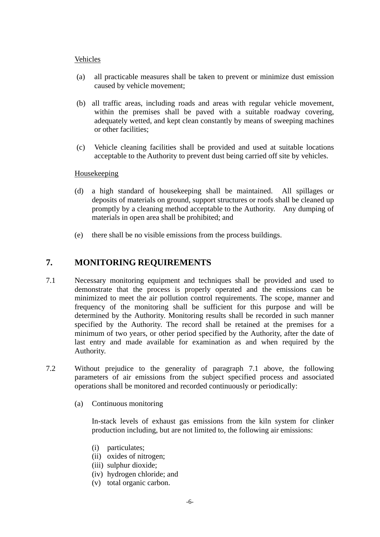#### Vehicles

- (a) all practicable measures shall be taken to prevent or minimize dust emission caused by vehicle movement;
- (b) all traffic areas, including roads and areas with regular vehicle movement, within the premises shall be paved with a suitable roadway covering, adequately wetted, and kept clean constantly by means of sweeping machines or other facilities;
- (c) Vehicle cleaning facilities shall be provided and used at suitable locations acceptable to the Authority to prevent dust being carried off site by vehicles.

#### Housekeeping

- (d) a high standard of housekeeping shall be maintained. All spillages or deposits of materials on ground, support structures or roofs shall be cleaned up promptly by a cleaning method acceptable to the Authority. Any dumping of materials in open area shall be prohibited; and
- (e) there shall be no visible emissions from the process buildings.

### **7. MONITORING REQUIREMENTS**

- 7.1 Necessary monitoring equipment and techniques shall be provided and used to demonstrate that the process is properly operated and the emissions can be minimized to meet the air pollution control requirements. The scope, manner and frequency of the monitoring shall be sufficient for this purpose and will be determined by the Authority. Monitoring results shall be recorded in such manner specified by the Authority. The record shall be retained at the premises for a minimum of two years, or other period specified by the Authority, after the date of last entry and made available for examination as and when required by the Authority.
- 7.2 Without prejudice to the generality of paragraph 7.1 above, the following parameters of air emissions from the subject specified process and associated operations shall be monitored and recorded continuously or periodically:
	- (a) Continuous monitoring

 In-stack levels of exhaust gas emissions from the kiln system for clinker production including, but are not limited to, the following air emissions:

- (i) particulates;
- (ii) oxides of nitrogen;
- (iii) sulphur dioxide;
- (iv) hydrogen chloride; and
- (v) total organic carbon.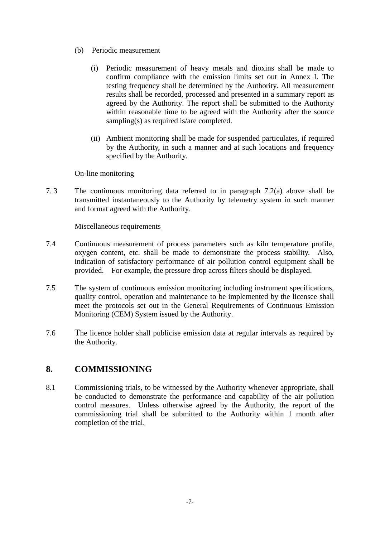- (b) Periodic measurement
	- (i) Periodic measurement of heavy metals and dioxins shall be made to confirm compliance with the emission limits set out in Annex I. The testing frequency shall be determined by the Authority. All measurement results shall be recorded, processed and presented in a summary report as agreed by the Authority. The report shall be submitted to the Authority within reasonable time to be agreed with the Authority after the source sampling(s) as required is/are completed.
	- (ii) Ambient monitoring shall be made for suspended particulates, if required by the Authority, in such a manner and at such locations and frequency specified by the Authority.

#### On-line monitoring

7. 3 The continuous monitoring data referred to in paragraph 7.2(a) above shall be transmitted instantaneously to the Authority by telemetry system in such manner and format agreed with the Authority.

#### Miscellaneous requirements

- 7.4 Continuous measurement of process parameters such as kiln temperature profile, oxygen content, etc. shall be made to demonstrate the process stability. Also, indication of satisfactory performance of air pollution control equipment shall be provided. For example, the pressure drop across filters should be displayed.
- 7.5 The system of continuous emission monitoring including instrument specifications, quality control, operation and maintenance to be implemented by the licensee shall meet the protocols set out in the General Requirements of Continuous Emission Monitoring (CEM) System issued by the Authority.
- 7.6 The licence holder shall publicise emission data at regular intervals as required by the Authority.

### **8. COMMISSIONING**

8.1 Commissioning trials, to be witnessed by the Authority whenever appropriate, shall be conducted to demonstrate the performance and capability of the air pollution control measures. Unless otherwise agreed by the Authority, the report of the commissioning trial shall be submitted to the Authority within 1 month after completion of the trial.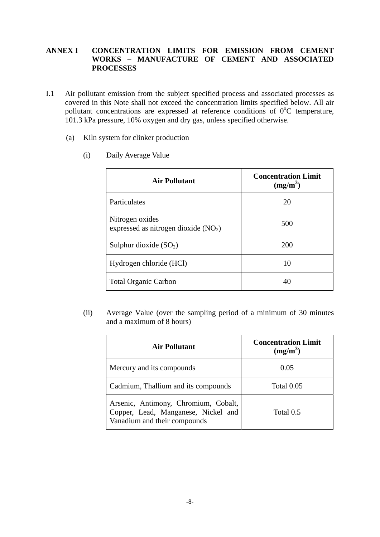#### **ANNEX I CONCENTRATION LIMITS FOR EMISSION FROM CEMENT WORKS – MANUFACTURE OF CEMENT AND ASSOCIATED PROCESSES**

- I.1 Air pollutant emission from the subject specified process and associated processes as covered in this Note shall not exceed the concentration limits specified below. All air pollutant concentrations are expressed at reference conditions of  $0^{\circ}$ C temperature, 101.3 kPa pressure, 10% oxygen and dry gas, unless specified otherwise.
	- (a) Kiln system for clinker production

| <b>Air Pollutant</b>                                     | <b>Concentration Limit</b><br>$(mg/m^3)$ |
|----------------------------------------------------------|------------------------------------------|
| Particulates                                             | 20                                       |
| Nitrogen oxides<br>expressed as nitrogen dioxide $(NO2)$ | 500                                      |
| Sulphur dioxide $(SO_2)$                                 | 200                                      |
| Hydrogen chloride (HCl)                                  | 10                                       |
| <b>Total Organic Carbon</b>                              | 40                                       |

(i) Daily Average Value

(ii) Average Value (over the sampling period of a minimum of 30 minutes and a maximum of 8 hours)

| <b>Air Pollutant</b>                                                                                        | <b>Concentration Limit</b><br>$(mg/m^3)$ |
|-------------------------------------------------------------------------------------------------------------|------------------------------------------|
| Mercury and its compounds                                                                                   | 0.05                                     |
| Cadmium, Thallium and its compounds                                                                         | Total 0.05                               |
| Arsenic, Antimony, Chromium, Cobalt,<br>Copper, Lead, Manganese, Nickel and<br>Vanadium and their compounds | Total 0.5                                |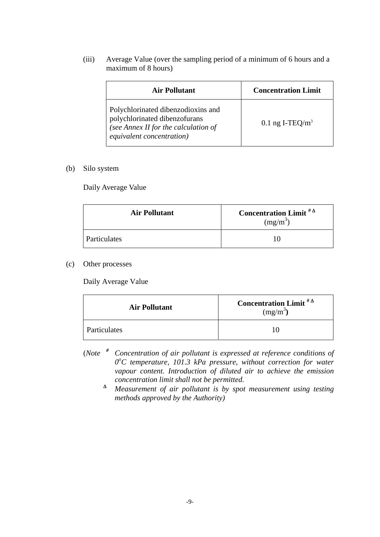(iii) Average Value (over the sampling period of a minimum of 6 hours and a maximum of 8 hours)

| Air Pollutant                                                                                                                            | <b>Concentration Limit</b> |
|------------------------------------------------------------------------------------------------------------------------------------------|----------------------------|
| Polychlorinated dibenzodioxins and<br>polychlorinated dibenzofurans<br>(see Annex II for the calculation of<br>equivalent concentration) | 0.1 ng I-TEQ/ $m3$         |

#### (b) Silo system

Daily Average Value

| <b>Air Pollutant</b> | <b>Concentration Limit</b> $^{\# \Delta}$<br>$(mg/m^3)$ |
|----------------------|---------------------------------------------------------|
| <b>Particulates</b>  |                                                         |

#### (c) Other processes

Daily Average Value

| <b>Air Pollutant</b> | <b>Concentration Limit</b> $^{\# \Delta}$<br>$(mg/m^3)$ |
|----------------------|---------------------------------------------------------|
| Particulates         |                                                         |

- (*Note # Concentration of air pollutant is expressed at reference conditions of 0o C temperature, 101.3 kPa pressure, without correction for water vapour content. Introduction of diluted air to achieve the emission concentration limit shall not be permitted.*
- <sup>Δ</sup>  *Measurement of air pollutant is by spot measurement using testing methods approved by the Authority)*